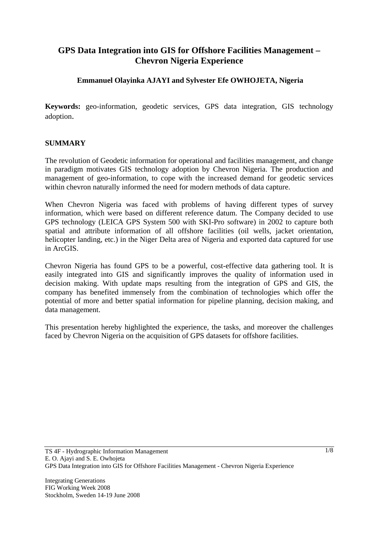# **GPS Data Integration into GIS for Offshore Facilities Management – Chevron Nigeria Experience**

## **Emmanuel Olayinka AJAYI and Sylvester Efe OWHOJETA, Nigeria**

**Keywords:** geo-information, geodetic services, GPS data integration, GIS technology adoption.

#### **SUMMARY**

The revolution of Geodetic information for operational and facilities management, and change in paradigm motivates GIS technology adoption by Chevron Nigeria. The production and management of geo-information, to cope with the increased demand for geodetic services within chevron naturally informed the need for modern methods of data capture.

When Chevron Nigeria was faced with problems of having different types of survey information, which were based on different reference datum. The Company decided to use GPS technology (LEICA GPS System 500 with SKI-Pro software) in 2002 to capture both spatial and attribute information of all offshore facilities (oil wells, jacket orientation, helicopter landing, etc.) in the Niger Delta area of Nigeria and exported data captured for use in ArcGIS.

Chevron Nigeria has found GPS to be a powerful, cost-effective data gathering tool. It is easily integrated into GIS and significantly improves the quality of information used in decision making. With update maps resulting from the integration of GPS and GIS, the company has benefited immensely from the combination of technologies which offer the potential of more and better spatial information for pipeline planning, decision making, and data management.

This presentation hereby highlighted the experience, the tasks, and moreover the challenges faced by Chevron Nigeria on the acquisition of GPS datasets for offshore facilities.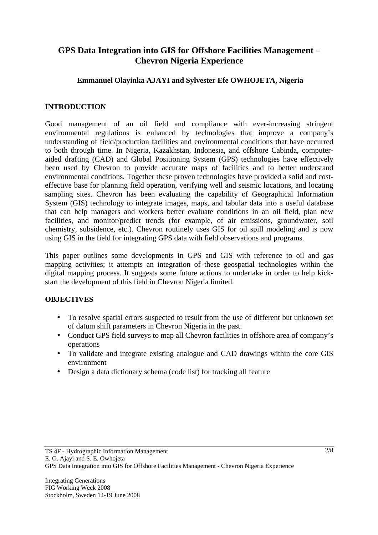# **GPS Data Integration into GIS for Offshore Facilities Management – Chevron Nigeria Experience**

### **Emmanuel Olayinka AJAYI and Sylvester Efe OWHOJETA, Nigeria**

### **INTRODUCTION**

Good management of an oil field and compliance with ever-increasing stringent environmental regulations is enhanced by technologies that improve a company's understanding of field/production facilities and environmental conditions that have occurred to both through time. In Nigeria, Kazakhstan, Indonesia, and offshore Cabinda, computeraided drafting (CAD) and Global Positioning System (GPS) technologies have effectively been used by Chevron to provide accurate maps of facilities and to better understand environmental conditions. Together these proven technologies have provided a solid and costeffective base for planning field operation, verifying well and seismic locations, and locating sampling sites. Chevron has been evaluating the capability of Geographical Information System (GIS) technology to integrate images, maps, and tabular data into a useful database that can help managers and workers better evaluate conditions in an oil field, plan new facilities, and monitor/predict trends (for example, of air emissions, groundwater, soil chemistry, subsidence, etc.). Chevron routinely uses GIS for oil spill modeling and is now using GIS in the field for integrating GPS data with field observations and programs.

This paper outlines some developments in GPS and GIS with reference to oil and gas mapping activities; it attempts an integration of these geospatial technologies within the digital mapping process. It suggests some future actions to undertake in order to help kickstart the development of this field in Chevron Nigeria limited.

#### **OBJECTIVES**

- To resolve spatial errors suspected to result from the use of different but unknown set of datum shift parameters in Chevron Nigeria in the past.
- Conduct GPS field surveys to map all Chevron facilities in offshore area of company's operations
- To validate and integrate existing analogue and CAD drawings within the core GIS environment
- Design a data dictionary schema (code list) for tracking all feature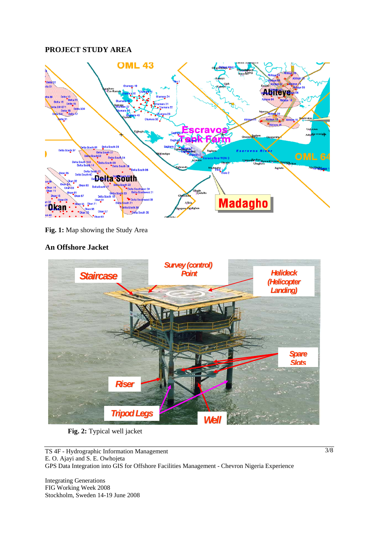# **PROJECT STUDY AREA**



**Fig. 1:** Map showing the Study Area

### **An Offshore Jacket**



**Fig. 2:** Typical well jacket

TS 4F - Hydrographic Information Management E. O. Ajayi and S. E. Owhojeta GPS Data Integration into GIS for Offshore Facilities Management - Chevron Nigeria Experience

Integrating Generations FIG Working Week 2008 Stockholm, Sweden 14-19 June 2008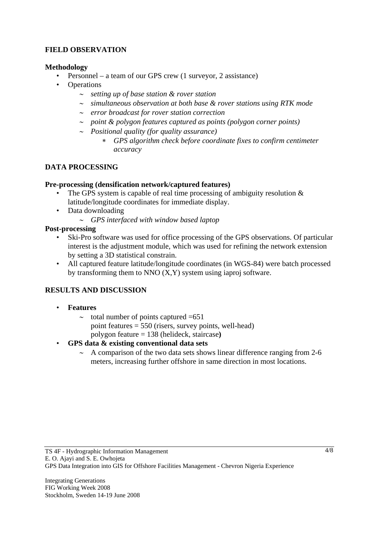### **FIELD OBSERVATION**

#### **Methodology**

- Personnel a team of our GPS crew (1 surveyor, 2 assistance)
- **Operations** 
	- ∼ *setting up of base station & rover station*
	- ∼ *simultaneous observation at both base & rover stations using RTK mode*
	- ∼ *error broadcast for rover station correction*
	- ∼ *point & polygon features captured as points (polygon corner points)*
	- ∼ *Positional quality (for quality assurance)* 
		- ∗ *GPS algorithm check before coordinate fixes to confirm centimeter accuracy*

#### **DATA PROCESSING**

#### **Pre-processing (densification network/captured features)**

- The GPS system is capable of real time processing of ambiguity resolution  $\&$ latitude/longitude coordinates for immediate display.
- Data downloading
	- ∼ *GPS interfaced with window based laptop*

#### **Post-processing**

- Ski-Pro software was used for office processing of the GPS observations. Of particular interest is the adjustment module, which was used for refining the network extension by setting a 3D statistical constrain.
- All captured feature latitude/longitude coordinates (in WGS-84) were batch processed by transforming them to NNO  $(X, Y)$  system using iaproj software.

# **RESULTS AND DISCUSSION**

- **Features**
	- ∼ total number of points captured =651 point features  $= 550$  (risers, survey points, well-head) polygon feature = 138 (helideck, staircase**)**
- **GPS data & existing conventional data sets**
	- ∼ A comparison of the two data sets shows linear difference ranging from 2-6 meters, increasing further offshore in same direction in most locations.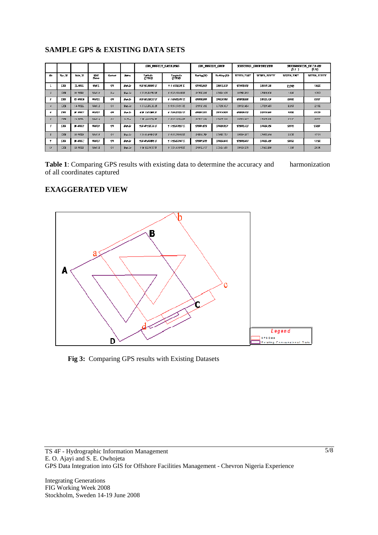# **SAMPLE GPS & EXISTING DATA SETS**

|              |             |                   |                             |                |                 | GES RESULT LAT/LONG            |                    | CES RESULT CRID       |                  | KXIFTING GRIDRECORD |                      | DIFFERENCES IN CO-OT<br>D-F J<br>p. nj |             |
|--------------|-------------|-------------------|-----------------------------|----------------|-----------------|--------------------------------|--------------------|-----------------------|------------------|---------------------|----------------------|----------------------------------------|-------------|
| $\sigma$     | Re- III     | <b>PaSt 17</b>    | <b>BIGHT</b><br><b>Fone</b> | <b>Contact</b> | <b>Borne</b>    | <b>Tartmin</b><br><b>CDIED</b> | (DEE)              | <b>The first (TI)</b> | North and (L)    | <b>MINNA FAST</b>   | <b>MITRICA NORTH</b> | <b>NUMBER</b>                          | KULUY NURTH |
|              | <b>THE</b>  | JL-UHL            | <b>UTMTI</b>                | Off            | <b>Shot Jin</b> | <b>FIFSCHWATH</b>              | <b>FF LITTLIFT</b> | 127405.577            | <b>LYTTLET</b>   | 127400.177          | 球球堆                  | 2.046                                  | 1.522       |
| $\mathbf{z}$ | <b>DIS</b>  | 10-V/HLO          | VI-110                      | Ges            | Shut-In         | 5 35 26 210 76 2 17            | 5 6 13 038448 E    | 297687.898            | 175810.038       | 297662303           | 175608.676           | 1.595                                  | 1.363       |
| I            | <b>TILE</b> | <b>TE-PIHLE</b>   | णजा                         | Off            | <b>Find In</b>  | <b>FREALTH</b>                 | <b>F FIFTHATEL</b> | 129931,990            | 134513306        | 管理不红形               | <b>ITALLOT</b>       | 2552                                   | 2027        |
|              | <b>DIS</b>  | $(4 - \sqrt{3})$  | VI-112                      | Oil            | Shrt-In         | 5 35 13 332161 17              | 5 6 56 574557 E    | 299020 452            | 177258.617       | 299019AB4           | 177256 A37           | 0.968                                  | 2.180       |
| ٠            | <b>THE</b>  | <b>BT SUBLIST</b> | <b>CONTI</b>                | OW             | <b>Water</b>    | <b>FW EXIGNE IT</b>            | <b>F 715 ISSUE</b> | 209915.321            | LYFILE 974       | 27710.177           | 177111.025           | 1,898                                  | 200         |
| $\epsilon$   | DZ3         | $(9 - 39711)$     | VMI14                       | Oil            | $L_1U_2$        | 5 36 4 0 9 1 76 4 17           | 5 6 12 143644 E    | 297651,624            | 17977 396        | 297650907           | 176971161            | 2.7 17                                 | 2.235       |
| 7            | ПF          | <b>MELBURTS</b>   | <b>UTAIT 15</b>             | <b>Off</b>     | <b>Shot Jr</b>  | <b>专利 的复数工作者</b>               | <b>S GREENEST</b>  | 1289.127              | <b>L'AGRADET</b> | 178891.077          | LAGU SE              | 2515                                   | 228         |
|              | <b>DIS</b>  | 15-WHI(           | VI6 116                     | Oil            | Shut-In         | 5 31 49 496893 IT              | 5 6 52 336062 E    | 298891.789            | 171683.715       | 298890257           | 174661.954           | 2.532                                  | 1.761       |
| ÷            | ПF          | <b>S-SUILT</b>    | <b>UGILY</b>                | <b>Off</b>     | <b>Shot Jr</b>  | 手羽 的复数形式                       | <b>S FREADRITE</b> | 128995370             | <b>LYGET JAZ</b> | <b>CHRAZIES</b>     | <b>INGELOG</b>       | 2837                                   | 1,792       |
| L0           | <b>DIS</b>  | 13-WHIE           | Woll 16                     | Oil            | Shut-In         | 5 34 6 135 (67 F               | 5 7 25 AL999B E    | 299911.077            | 177414 466       | 299910279           | 173411 550           | 1.795                                  | 2.535       |

**Table 1**: Comparing GPS results with existing data to determine the accuracy and harmonization of all coordinates captured

#### **EXAGGERATED VIEW**



**Fig 3:** Comparing GPS results with Existing Datasets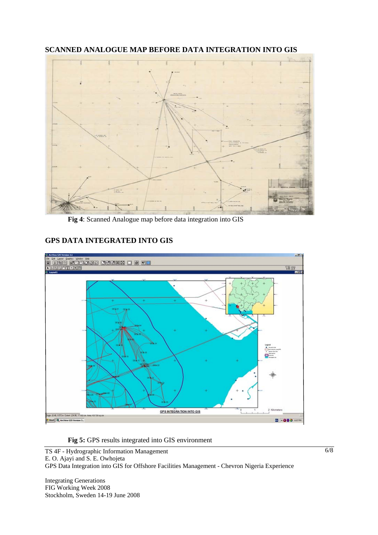

**SCANNED ANALOGUE MAP BEFORE DATA INTEGRATION INTO GIS** 

**Fig 4**: Scanned Analogue map before data integration into GIS

# **GPS DATA INTEGRATED INTO GIS**



**Fig 5:** GPS results integrated into GIS environment

TS 4F - Hydrographic Information Management E. O. Ajayi and S. E. Owhojeta GPS Data Integration into GIS for Offshore Facilities Management - Chevron Nigeria Experience

Integrating Generations FIG Working Week 2008 Stockholm, Sweden 14-19 June 2008 6/8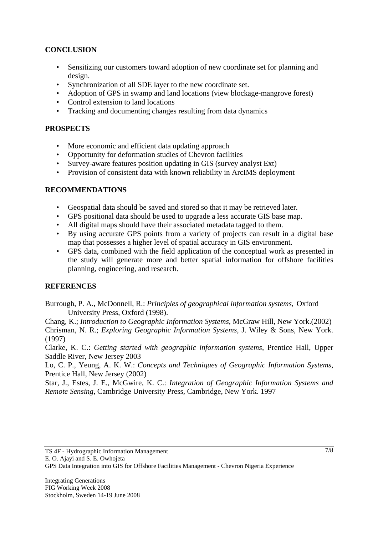# **CONCLUSION**

- Sensitizing our customers toward adoption of new coordinate set for planning and design.
- Synchronization of all SDE layer to the new coordinate set.
- Adoption of GPS in swamp and land locations (view blockage-mangrove forest)
- Control extension to land locations
- Tracking and documenting changes resulting from data dynamics

### **PROSPECTS**

- More economic and efficient data updating approach
- Opportunity for deformation studies of Chevron facilities
- Survey-aware features position updating in GIS (survey analyst Ext)
- Provision of consistent data with known reliability in ArcIMS deployment

#### **RECOMMENDATIONS**

- Geospatial data should be saved and stored so that it may be retrieved later.
- GPS positional data should be used to upgrade a less accurate GIS base map.
- All digital maps should have their associated metadata tagged to them.
- By using accurate GPS points from a variety of projects can result in a digital base map that possesses a higher level of spatial accuracy in GIS environment.
- GPS data, combined with the field application of the conceptual work as presented in the study will generate more and better spatial information for offshore facilities planning, engineering, and research.

#### **REFERENCES**

Burrough, P. A., McDonnell, R.: *Principles of geographical information systems*, Oxford University Press, Oxford (1998).

Chang, K.; *Introduction to Geographic Information Systems*, McGraw Hill, New York.(2002) Chrisman, N. R.; *Exploring Geographic Information Systems*, J. Wiley & Sons, New York. (1997)

Clarke, K. C.: *Getting started with geographic information systems*, Prentice Hall, Upper Saddle River, New Jersey 2003

Lo, C. P., Yeung, A. K. W.: *Concepts and Techniques of Geographic Information Systems*, Prentice Hall, New Jersey (2002)

Star, J., Estes, J. E., McGwire, K. C.: *Integration of Geographic Information Systems and Remote Sensing*, Cambridge University Press, Cambridge, New York. 1997